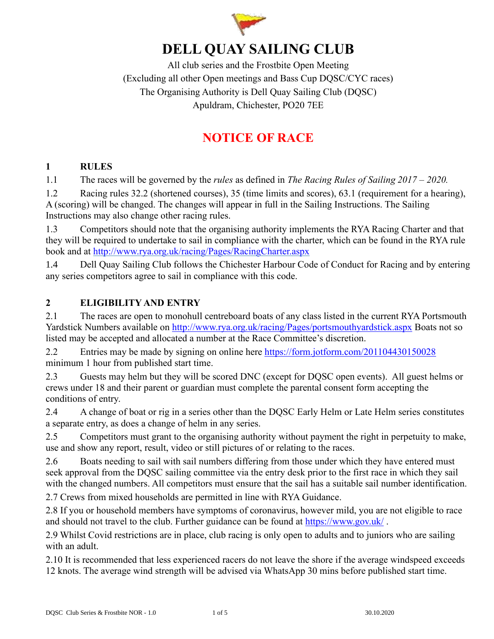

# **DELL QUAY SAILING CLUB**

All club series and the Frostbite Open Meeting (Excluding all other Open meetings and Bass Cup DQSC/CYC races) The Organising Authority is Dell Quay Sailing Club (DQSC) Apuldram, Chichester, PO20 7EE

# **NOTICE OF RACE**

## **1 RULES**

1.1 The races will be governed by the *rules* as defined in *The Racing Rules of Sailing 2017 – 2020.*

1.2 Racing rules 32.2 (shortened courses), 35 (time limits and scores), 63.1 (requirement for a hearing), A (scoring) will be changed. The changes will appear in full in the Sailing Instructions. The Sailing Instructions may also change other racing rules.

1.3 Competitors should note that the organising authority implements the RYA Racing Charter and that they will be required to undertake to sail in compliance with the charter, which can be found in the RYA rule book and at<http://www.rya.org.uk/racing/Pages/RacingCharter.aspx>

1.4 Dell Quay Sailing Club follows the Chichester Harbour Code of Conduct for Racing and by entering any series competitors agree to sail in compliance with this code.

## **2 ELIGIBILITY AND ENTRY**

2.1 The races are open to monohull centreboard boats of any class listed in the current RYA Portsmouth Yardstick Numbers available on<http://www.rya.org.uk/racing/Pages/portsmouthyardstick.aspx> Boats not so listed may be accepted and allocated a number at the Race Committee's discretion.

2.2 Entries may be made by signing on online here<https://form.jotform.com/201104430150028> minimum 1 hour from published start time.

2.3 Guests may helm but they will be scored DNC (except for DQSC open events). All guest helms or crews under 18 and their parent or guardian must complete the parental consent form accepting the conditions of entry.

2.4 A change of boat or rig in a series other than the DQSC Early Helm or Late Helm series constitutes a separate entry, as does a change of helm in any series.

2.5 Competitors must grant to the organising authority without payment the right in perpetuity to make, use and show any report, result, video or still pictures of or relating to the races.

2.6 Boats needing to sail with sail numbers differing from those under which they have entered must seek approval from the DQSC sailing committee via the entry desk prior to the first race in which they sail with the changed numbers. All competitors must ensure that the sail has a suitable sail number identification.

2.7 Crews from mixed households are permitted in line with RYA Guidance.

2.8 If you or household members have symptoms of coronavirus, however mild, you are not eligible to race and should not travel to the club. Further guidance can be found at<https://www.gov.uk/> .

2.9 Whilst Covid restrictions are in place, club racing is only open to adults and to juniors who are sailing with an adult.

2.10 It is recommended that less experienced racers do not leave the shore if the average windspeed exceeds 12 knots. The average wind strength will be advised via WhatsApp 30 mins before published start time.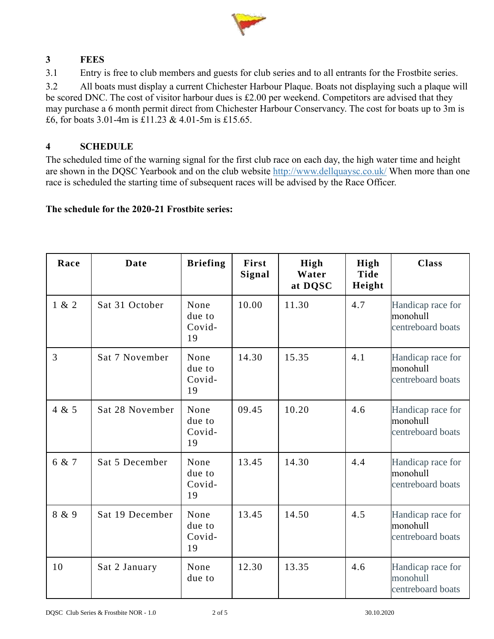

## **3 FEES**

3.1 Entry is free to club members and guests for club series and to all entrants for the Frostbite series.

3.2 All boats must display a current Chichester Harbour Plaque. Boats not displaying such a plaque will be scored DNC. The cost of visitor harbour dues is £2.00 per weekend. Competitors are advised that they may purchase a 6 month permit direct from Chichester Harbour Conservancy. The cost for boats up to 3m is £6, for boats 3.01-4m is £11.23 & 4.01-5m is £15.65.

## **4 SCHEDULE**

The scheduled time of the warning signal for the first club race on each day, the high water time and height are shown in the DQSC Yearbook and on the club website<http://www.dellquaysc.co.uk/> When more than one race is scheduled the starting time of subsequent races will be advised by the Race Officer.

#### **The schedule for the 2020-21 Frostbite series:**

| Race  | <b>Date</b>     | <b>Briefing</b>                | First<br>Signal | High<br>Water<br>at DQSC | High<br><b>Tide</b><br>Height | <b>Class</b>                                       |
|-------|-----------------|--------------------------------|-----------------|--------------------------|-------------------------------|----------------------------------------------------|
| 1 & 2 | Sat 31 October  | None<br>due to<br>Covid-<br>19 | 10.00           | 11.30                    | 4.7                           | Handicap race for<br>monohull<br>centreboard boats |
| 3     | Sat 7 November  | None<br>due to<br>Covid-<br>19 | 14.30           | 15.35                    | 4.1                           | Handicap race for<br>monohull<br>centreboard boats |
| 4 & 5 | Sat 28 November | None<br>due to<br>Covid-<br>19 | 09.45           | 10.20                    | 4.6                           | Handicap race for<br>monohull<br>centreboard boats |
| 6 & 7 | Sat 5 December  | None<br>due to<br>Covid-<br>19 | 13.45           | 14.30                    | 4.4                           | Handicap race for<br>monohull<br>centreboard boats |
| 8 & 9 | Sat 19 December | None<br>due to<br>Covid-<br>19 | 13.45           | 14.50                    | 4.5                           | Handicap race for<br>monohull<br>centreboard boats |
| 10    | Sat 2 January   | None<br>due to                 | 12.30           | 13.35                    | 4.6                           | Handicap race for<br>monohull<br>centreboard boats |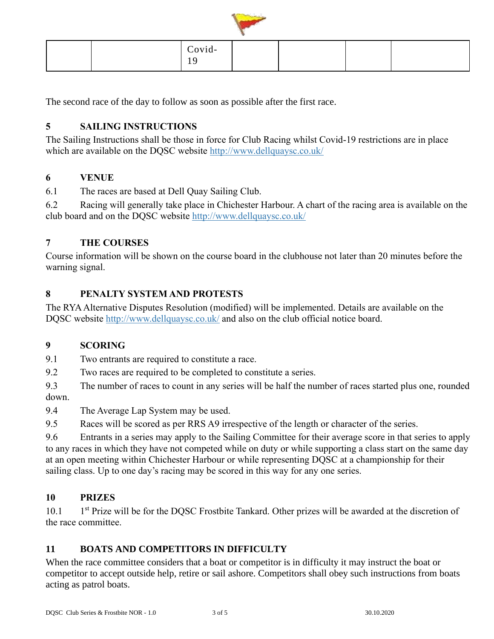

| Covid-<br>. . |  |  |
|---------------|--|--|

The second race of the day to follow as soon as possible after the first race.

## **5 SAILING INSTRUCTIONS**

The Sailing Instructions shall be those in force for Club Racing whilst Covid-19 restrictions are in place which are available on the DQSC website<http://www.dellquaysc.co.uk/>

#### **6 VENUE**

6.1 The races are based at Dell Quay Sailing Club.

6.2 Racing will generally take place in Chichester Harbour. A chart of the racing area is available on the club board and on the DQSC website<http://www.dellquaysc.co.uk/>

## **7 THE COURSES**

Course information will be shown on the course board in the clubhouse not later than 20 minutes before the warning signal.

## **8 PENALTY SYSTEM AND PROTESTS**

The RYA Alternative Disputes Resolution (modified) will be implemented. Details are available on the DQSC website<http://www.dellquaysc.co.uk/> and also on the club official notice board.

#### **9 SCORING**

9.1 Two entrants are required to constitute a race.

9.2 Two races are required to be completed to constitute a series.

9.3 The number of races to count in any series will be half the number of races started plus one, rounded down.

9.4 The Average Lap System may be used.

9.5 Races will be scored as per RRS A9 irrespective of the length or character of the series.

9.6 Entrants in a series may apply to the Sailing Committee for their average score in that series to apply to any races in which they have not competed while on duty or while supporting a class start on the same day at an open meeting within Chichester Harbour or while representing DQSC at a championship for their sailing class. Up to one day's racing may be scored in this way for any one series.

#### **10 PRIZES**

 $10.1$ 1<sup>st</sup> Prize will be for the DQSC Frostbite Tankard. Other prizes will be awarded at the discretion of the race committee.

## **11 BOATS AND COMPETITORS IN DIFFICULTY**

When the race committee considers that a boat or competitor is in difficulty it may instruct the boat or competitor to accept outside help, retire or sail ashore. Competitors shall obey such instructions from boats acting as patrol boats.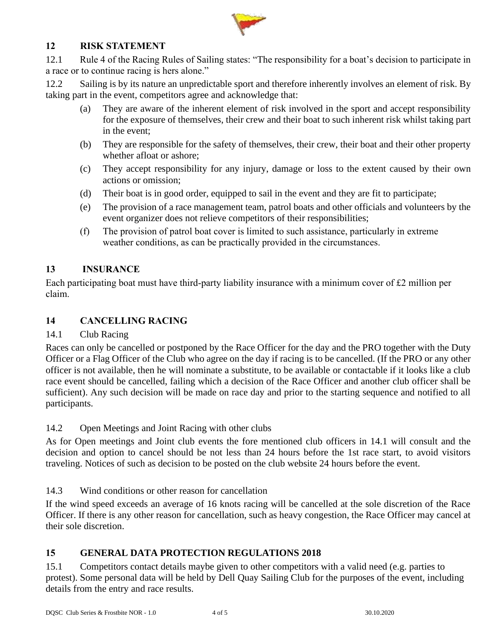

#### **12 RISK STATEMENT**

12.1 Rule 4 of the Racing Rules of Sailing states: "The responsibility for a boat's decision to participate in a race or to continue racing is hers alone."

12.2 Sailing is by its nature an unpredictable sport and therefore inherently involves an element of risk. By taking part in the event, competitors agree and acknowledge that:

- (a) They are aware of the inherent element of risk involved in the sport and accept responsibility for the exposure of themselves, their crew and their boat to such inherent risk whilst taking part in the event;
- (b) They are responsible for the safety of themselves, their crew, their boat and their other property whether afloat or ashore;
- (c) They accept responsibility for any injury, damage or loss to the extent caused by their own actions or omission;
- (d) Their boat is in good order, equipped to sail in the event and they are fit to participate;
- (e) The provision of a race management team, patrol boats and other officials and volunteers by the event organizer does not relieve competitors of their responsibilities;
- (f) The provision of patrol boat cover is limited to such assistance, particularly in extreme weather conditions, as can be practically provided in the circumstances.

#### **13 INSURANCE**

Each participating boat must have third-party liability insurance with a minimum cover of £2 million per claim.

#### **14 CANCELLING RACING**

#### 14.1 Club Racing

Races can only be cancelled or postponed by the Race Officer for the day and the PRO together with the Duty Officer or a Flag Officer of the Club who agree on the day if racing is to be cancelled. (If the PRO or any other officer is not available, then he will nominate a substitute, to be available or contactable if it looks like a club race event should be cancelled, failing which a decision of the Race Officer and another club officer shall be sufficient). Any such decision will be made on race day and prior to the starting sequence and notified to all participants.

14.2 Open Meetings and Joint Racing with other clubs

As for Open meetings and Joint club events the fore mentioned club officers in 14.1 will consult and the decision and option to cancel should be not less than 24 hours before the 1st race start, to avoid visitors traveling. Notices of such as decision to be posted on the club website 24 hours before the event.

14.3 Wind conditions or other reason for cancellation

If the wind speed exceeds an average of 16 knots racing will be cancelled at the sole discretion of the Race Officer. If there is any other reason for cancellation, such as heavy congestion, the Race Officer may cancel at their sole discretion.

## **15 GENERAL DATA PROTECTION REGULATIONS 2018**

15.1 Competitors contact details maybe given to other competitors with a valid need (e.g. parties to protest). Some personal data will be held by Dell Quay Sailing Club for the purposes of the event, including details from the entry and race results.